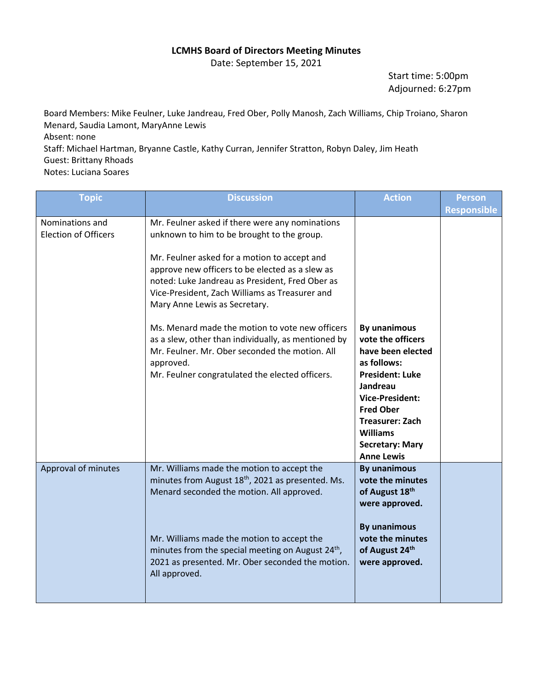## **LCMHS Board of Directors Meeting Minutes**

Date: September 15, 2021

Start time: 5:00pm Adjourned: 6:27pm

Board Members: Mike Feulner, Luke Jandreau, Fred Ober, Polly Manosh, Zach Williams, Chip Troiano, Sharon Menard, Saudia Lamont, MaryAnne Lewis Absent: none Staff: Michael Hartman, Bryanne Castle, Kathy Curran, Jennifer Stratton, Robyn Daley, Jim Heath Guest: Brittany Rhoads Notes: Luciana Soares

| <b>Topic</b>                                   | <b>Discussion</b>                                                                                                                                                                                                                     | <b>Action</b>                                                                                                                                                                                                                                         | <b>Person</b>      |
|------------------------------------------------|---------------------------------------------------------------------------------------------------------------------------------------------------------------------------------------------------------------------------------------|-------------------------------------------------------------------------------------------------------------------------------------------------------------------------------------------------------------------------------------------------------|--------------------|
|                                                |                                                                                                                                                                                                                                       |                                                                                                                                                                                                                                                       | <b>Responsible</b> |
| Nominations and<br><b>Election of Officers</b> | Mr. Feulner asked if there were any nominations<br>unknown to him to be brought to the group.                                                                                                                                         |                                                                                                                                                                                                                                                       |                    |
|                                                | Mr. Feulner asked for a motion to accept and<br>approve new officers to be elected as a slew as<br>noted: Luke Jandreau as President, Fred Ober as<br>Vice-President, Zach Williams as Treasurer and<br>Mary Anne Lewis as Secretary. |                                                                                                                                                                                                                                                       |                    |
|                                                | Ms. Menard made the motion to vote new officers<br>as a slew, other than individually, as mentioned by<br>Mr. Feulner. Mr. Ober seconded the motion. All<br>approved.<br>Mr. Feulner congratulated the elected officers.              | By unanimous<br>vote the officers<br>have been elected<br>as follows:<br><b>President: Luke</b><br>Jandreau<br><b>Vice-President:</b><br><b>Fred Ober</b><br><b>Treasurer: Zach</b><br><b>Williams</b><br><b>Secretary: Mary</b><br><b>Anne Lewis</b> |                    |
| Approval of minutes                            | Mr. Williams made the motion to accept the<br>minutes from August 18 <sup>th</sup> , 2021 as presented. Ms.<br>Menard seconded the motion. All approved.                                                                              | <b>By unanimous</b><br>vote the minutes<br>of August 18th<br>were approved.                                                                                                                                                                           |                    |
|                                                | Mr. Williams made the motion to accept the<br>minutes from the special meeting on August 24 <sup>th</sup> ,<br>2021 as presented. Mr. Ober seconded the motion.<br>All approved.                                                      | <b>By unanimous</b><br>vote the minutes<br>of August 24th<br>were approved.                                                                                                                                                                           |                    |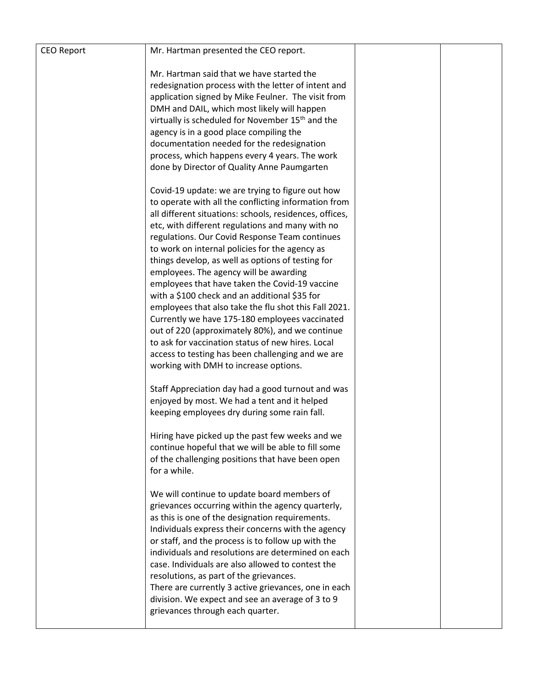| <b>CEO Report</b> | Mr. Hartman presented the CEO report.                                                                                                                                                                                                                                                                                                                                                                                                                                                                                                                                                                                                                                                                                                                                                                                                          |  |
|-------------------|------------------------------------------------------------------------------------------------------------------------------------------------------------------------------------------------------------------------------------------------------------------------------------------------------------------------------------------------------------------------------------------------------------------------------------------------------------------------------------------------------------------------------------------------------------------------------------------------------------------------------------------------------------------------------------------------------------------------------------------------------------------------------------------------------------------------------------------------|--|
|                   | Mr. Hartman said that we have started the<br>redesignation process with the letter of intent and<br>application signed by Mike Feulner. The visit from<br>DMH and DAIL, which most likely will happen<br>virtually is scheduled for November 15 <sup>th</sup> and the<br>agency is in a good place compiling the<br>documentation needed for the redesignation<br>process, which happens every 4 years. The work<br>done by Director of Quality Anne Paumgarten                                                                                                                                                                                                                                                                                                                                                                                |  |
|                   | Covid-19 update: we are trying to figure out how<br>to operate with all the conflicting information from<br>all different situations: schools, residences, offices,<br>etc, with different regulations and many with no<br>regulations. Our Covid Response Team continues<br>to work on internal policies for the agency as<br>things develop, as well as options of testing for<br>employees. The agency will be awarding<br>employees that have taken the Covid-19 vaccine<br>with a \$100 check and an additional \$35 for<br>employees that also take the flu shot this Fall 2021.<br>Currently we have 175-180 employees vaccinated<br>out of 220 (approximately 80%), and we continue<br>to ask for vaccination status of new hires. Local<br>access to testing has been challenging and we are<br>working with DMH to increase options. |  |
|                   | Staff Appreciation day had a good turnout and was<br>enjoyed by most. We had a tent and it helped<br>keeping employees dry during some rain fall.<br>Hiring have picked up the past few weeks and we<br>continue hopeful that we will be able to fill some<br>of the challenging positions that have been open<br>for a while.                                                                                                                                                                                                                                                                                                                                                                                                                                                                                                                 |  |
|                   | We will continue to update board members of<br>grievances occurring within the agency quarterly,<br>as this is one of the designation requirements.<br>Individuals express their concerns with the agency<br>or staff, and the process is to follow up with the<br>individuals and resolutions are determined on each<br>case. Individuals are also allowed to contest the<br>resolutions, as part of the grievances.<br>There are currently 3 active grievances, one in each<br>division. We expect and see an average of 3 to 9<br>grievances through each quarter.                                                                                                                                                                                                                                                                          |  |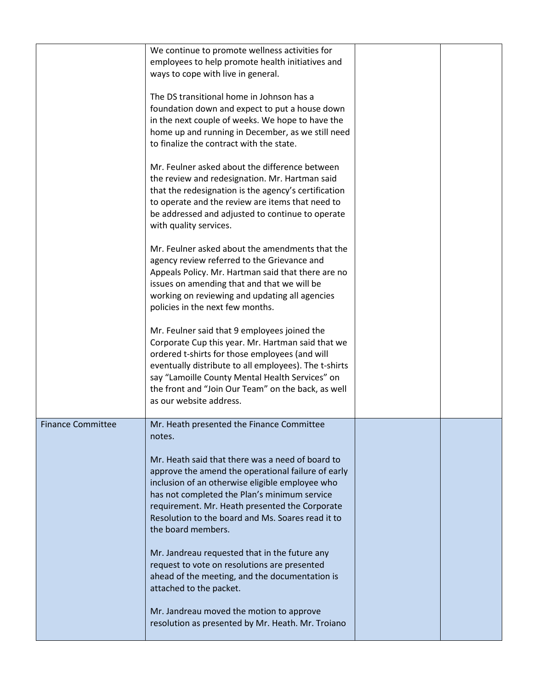|                          | We continue to promote wellness activities for<br>employees to help promote health initiatives and<br>ways to cope with live in general.                                                                                                                                                                                                                                                                                                       |  |
|--------------------------|------------------------------------------------------------------------------------------------------------------------------------------------------------------------------------------------------------------------------------------------------------------------------------------------------------------------------------------------------------------------------------------------------------------------------------------------|--|
|                          | The DS transitional home in Johnson has a<br>foundation down and expect to put a house down<br>in the next couple of weeks. We hope to have the<br>home up and running in December, as we still need<br>to finalize the contract with the state.                                                                                                                                                                                               |  |
|                          | Mr. Feulner asked about the difference between<br>the review and redesignation. Mr. Hartman said<br>that the redesignation is the agency's certification<br>to operate and the review are items that need to<br>be addressed and adjusted to continue to operate<br>with quality services.                                                                                                                                                     |  |
|                          | Mr. Feulner asked about the amendments that the<br>agency review referred to the Grievance and<br>Appeals Policy. Mr. Hartman said that there are no<br>issues on amending that and that we will be<br>working on reviewing and updating all agencies<br>policies in the next few months.                                                                                                                                                      |  |
|                          | Mr. Feulner said that 9 employees joined the<br>Corporate Cup this year. Mr. Hartman said that we<br>ordered t-shirts for those employees (and will<br>eventually distribute to all employees). The t-shirts<br>say "Lamoille County Mental Health Services" on<br>the front and "Join Our Team" on the back, as well<br>as our website address.                                                                                               |  |
| <b>Finance Committee</b> | Mr. Heath presented the Finance Committee<br>notes.<br>Mr. Heath said that there was a need of board to<br>approve the amend the operational failure of early<br>inclusion of an otherwise eligible employee who<br>has not completed the Plan's minimum service<br>requirement. Mr. Heath presented the Corporate<br>Resolution to the board and Ms. Soares read it to<br>the board members.<br>Mr. Jandreau requested that in the future any |  |
|                          | request to vote on resolutions are presented<br>ahead of the meeting, and the documentation is<br>attached to the packet.                                                                                                                                                                                                                                                                                                                      |  |
|                          | Mr. Jandreau moved the motion to approve<br>resolution as presented by Mr. Heath. Mr. Troiano                                                                                                                                                                                                                                                                                                                                                  |  |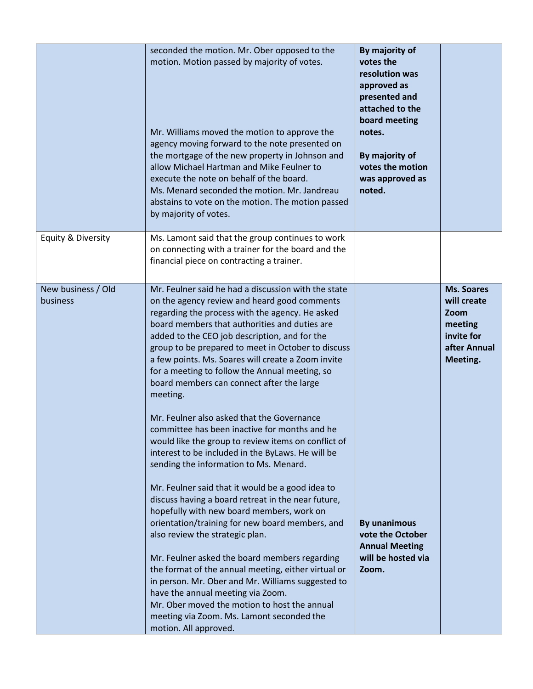|                                | seconded the motion. Mr. Ober opposed to the<br>motion. Motion passed by majority of votes.<br>Mr. Williams moved the motion to approve the<br>agency moving forward to the note presented on<br>the mortgage of the new property in Johnson and<br>allow Michael Hartman and Mike Feulner to<br>execute the note on behalf of the board.<br>Ms. Menard seconded the motion. Mr. Jandreau<br>abstains to vote on the motion. The motion passed<br>by majority of votes.                                                                                                                                                                                                                                                                                                                                                                                                                                                                                                                                                                                                                                                                                                                                                                                                                                   | By majority of<br>votes the<br>resolution was<br>approved as<br>presented and<br>attached to the<br>board meeting<br>notes.<br>By majority of<br>votes the motion<br>was approved as<br>noted. |                                                                                               |
|--------------------------------|-----------------------------------------------------------------------------------------------------------------------------------------------------------------------------------------------------------------------------------------------------------------------------------------------------------------------------------------------------------------------------------------------------------------------------------------------------------------------------------------------------------------------------------------------------------------------------------------------------------------------------------------------------------------------------------------------------------------------------------------------------------------------------------------------------------------------------------------------------------------------------------------------------------------------------------------------------------------------------------------------------------------------------------------------------------------------------------------------------------------------------------------------------------------------------------------------------------------------------------------------------------------------------------------------------------|------------------------------------------------------------------------------------------------------------------------------------------------------------------------------------------------|-----------------------------------------------------------------------------------------------|
| Equity & Diversity             | Ms. Lamont said that the group continues to work<br>on connecting with a trainer for the board and the<br>financial piece on contracting a trainer.                                                                                                                                                                                                                                                                                                                                                                                                                                                                                                                                                                                                                                                                                                                                                                                                                                                                                                                                                                                                                                                                                                                                                       |                                                                                                                                                                                                |                                                                                               |
| New business / Old<br>business | Mr. Feulner said he had a discussion with the state<br>on the agency review and heard good comments<br>regarding the process with the agency. He asked<br>board members that authorities and duties are<br>added to the CEO job description, and for the<br>group to be prepared to meet in October to discuss<br>a few points. Ms. Soares will create a Zoom invite<br>for a meeting to follow the Annual meeting, so<br>board members can connect after the large<br>meeting.<br>Mr. Feulner also asked that the Governance<br>committee has been inactive for months and he<br>would like the group to review items on conflict of<br>interest to be included in the ByLaws. He will be<br>sending the information to Ms. Menard.<br>Mr. Feulner said that it would be a good idea to<br>discuss having a board retreat in the near future,<br>hopefully with new board members, work on<br>orientation/training for new board members, and<br>also review the strategic plan.<br>Mr. Feulner asked the board members regarding<br>the format of the annual meeting, either virtual or<br>in person. Mr. Ober and Mr. Williams suggested to<br>have the annual meeting via Zoom.<br>Mr. Ober moved the motion to host the annual<br>meeting via Zoom. Ms. Lamont seconded the<br>motion. All approved. | <b>By unanimous</b><br>vote the October<br><b>Annual Meeting</b><br>will be hosted via<br>Zoom.                                                                                                | <b>Ms. Soares</b><br>will create<br>Zoom<br>meeting<br>invite for<br>after Annual<br>Meeting. |